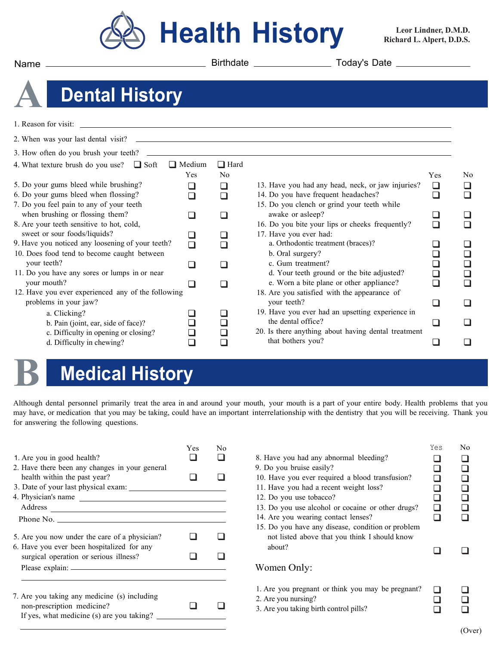

**Leor Lindner, D.M.D. Richard L. Alpert, D.D.S.**

Name Birthdate Today's Date

## **A Dental History**

| 1. Reason for visit:                               |               |                |                                                     |        |                |
|----------------------------------------------------|---------------|----------------|-----------------------------------------------------|--------|----------------|
| 2. When was your last dental visit?                |               |                |                                                     |        |                |
| 3. How often do you brush your teeth?              |               |                |                                                     |        |                |
| 4. What texture brush do you use? $\Box$ Soft      | $\Box$ Medium | $\Box$ Hard    |                                                     |        |                |
|                                                    | Yes           | N <sub>0</sub> |                                                     | Yes    | N <sub>0</sub> |
| 5. Do your gums bleed while brushing?              |               | ❏              | 13. Have you had any head, neck, or jaw injuries?   | ❏      |                |
| 6. Do your gums bleed when flossing?               |               | ⊓              | 14. Do you have frequent headaches?                 | ∩      |                |
| 7. Do you feel pain to any of your teeth           |               |                | 15. Do you clench or grind your teeth while         |        |                |
| when brushing or flossing them?                    |               | □              | awake or asleep?                                    |        |                |
| 8. Are your teeth sensitive to hot, cold,          |               |                | 16. Do you bite your lips or cheeks frequently?     | □      |                |
| sweet or sour foods/liquids?                       |               |                | 17. Have you ever had:                              |        |                |
| 9. Have you noticed any loosening of your teeth?   |               | □              | a. Orthodontic treatment (braces)?                  |        |                |
| 10. Does food tend to become caught between        |               |                | b. Oral surgery?                                    | ┙      |                |
| your teeth?                                        |               | □              | c. Gum treatment?                                   |        |                |
| 11. Do you have any sores or lumps in or near      |               |                | d. Your teeth ground or the bite adjusted?          | $\Box$ |                |
| your mouth?                                        |               |                | e. Worn a bite plane or other appliance?            | ∩      |                |
| 12. Have you ever experienced any of the following |               |                | 18. Are you satisfied with the appearance of        |        |                |
| problems in your jaw?                              |               |                | your teeth?                                         | H      |                |
| a. Clicking?                                       |               | n l            | 19. Have you ever had an upsetting experience in    |        |                |
| b. Pain (joint, ear, side of face)?                |               | $\sqcup$       | the dental office?                                  | l.     |                |
| c. Difficulty in opening or closing?               |               |                | 20. Is there anything about having dental treatment |        |                |
| d. Difficulty in chewing?                          |               |                | that bothers you?                                   |        |                |
|                                                    |               |                |                                                     |        |                |

## **B Medical History**

Although dental personnel primarily treat the area in and around your mouth, your mouth is a part of your entire body. Health problems that you may have, or medication that you may be taking, could have an important interrelationship with the dentistry that you will be receiving. Thank you for answering the following questions.

| Yes | No        |                                                                                                                    | Yes | No |
|-----|-----------|--------------------------------------------------------------------------------------------------------------------|-----|----|
|     |           | 8. Have you had any abnormal bleeding?                                                                             |     |    |
|     |           | 9. Do you bruise easily?                                                                                           |     |    |
|     |           | 10. Have you ever required a blood transfusion?                                                                    |     |    |
|     |           | 11. Have you had a recent weight loss?                                                                             |     |    |
|     |           | 12. Do you use tobacco?                                                                                            | П   |    |
|     |           | 13. Do you use alcohol or cocaine or other drugs?                                                                  | ⊓   |    |
|     |           | 14. Are you wearing contact lenses?                                                                                | n   |    |
|     |           | 15. Do you have any disease, condition or problem<br>not listed above that you think I should know<br>about?       |     |    |
|     |           |                                                                                                                    |     |    |
|     |           | Women Only:                                                                                                        |     |    |
|     |           | 1. Are you pregnant or think you may be pregnant?<br>2. Are you nursing?<br>3. Are you taking birth control pills? |     |    |
|     | Phone No. | 4. Physician's name                                                                                                |     |    |